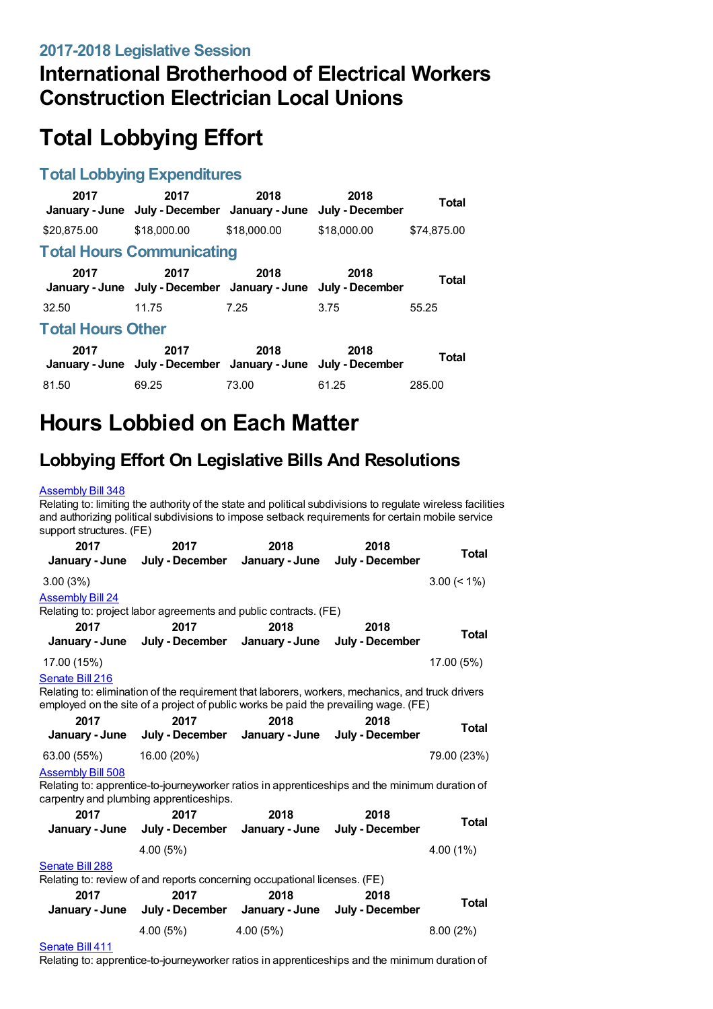## **International Brotherhood of Electrical Workers Construction Electrician Local Unions**

# **Total Lobbying Effort**

### **Total Lobbying Expenditures**

| 2017                     | 2017<br>January - June July - December January - June                 | 2018        | 2018<br>July - December | Total        |  |
|--------------------------|-----------------------------------------------------------------------|-------------|-------------------------|--------------|--|
| \$20,875,00              | \$18,000.00                                                           | \$18,000.00 | \$18,000.00             | \$74.875.00  |  |
|                          | <b>Total Hours Communicating</b>                                      |             |                         |              |  |
| 2017                     | 2017<br>January - June July - December January - June July - December | 2018        | 2018                    | <b>Total</b> |  |
| 32.50                    | 11.75                                                                 | 7.25        | 3.75                    | 55.25        |  |
| <b>Total Hours Other</b> |                                                                       |             |                         |              |  |
| 2017                     | 2017<br>January - June July - December January - June July - December | 2018        | 2018                    | <b>Total</b> |  |
| 81.50                    | 69.25                                                                 | 73.00       | 61.25                   | 285.00       |  |

# **Hours Lobbied on Each Matter**

## **Lobbying Effort On Legislative Bills And Resolutions**

#### [Assembly](https://lobbying.wi.gov/What/BillInformation/2017REG/Information/14420?tab=Efforts) Bill 348

Relating to: limiting the authority of the state and political subdivisions to regulate wireless facilities and authorizing political subdivisions to impose setback requirements for certain mobile service support structures. (FE) **2017 2017 2018 2018**

| 20 I L                         | 20 I L<br>January - June July - December January - June July - December   | ZU IO | 2010                                                                                                                                                                                    | <b>Total</b>   |
|--------------------------------|---------------------------------------------------------------------------|-------|-----------------------------------------------------------------------------------------------------------------------------------------------------------------------------------------|----------------|
| 3.00(3%)                       |                                                                           |       |                                                                                                                                                                                         | $3.00 \le 1\%$ |
| <b>Assembly Bill 24</b>        | Relating to: project labor agreements and public contracts. (FE)          |       |                                                                                                                                                                                         |                |
| 2017                           | 2017<br>January - June July - December January - June July - December     | 2018  | 2018                                                                                                                                                                                    | <b>Total</b>   |
| 17.00 (15%)<br>Senate Bill 216 |                                                                           |       |                                                                                                                                                                                         | 17.00 (5%)     |
|                                |                                                                           |       | Relating to: elimination of the requirement that laborers, workers, mechanics, and truck drivers<br>employed on the site of a project of public works be paid the prevailing wage. (FE) |                |
| 2017                           | 2017<br>January - June July - December January - June July - December     | 2018  | 2018                                                                                                                                                                                    | Total          |
| 63.00 (55%) 16.00 (20%)        |                                                                           |       |                                                                                                                                                                                         | 79.00 (23%)    |
| <b>Assembly Bill 508</b>       | carpentry and plumbing apprenticeships.                                   |       | Relating to: apprentice-to-journeyworker ratios in apprenticeships and the minimum duration of                                                                                          |                |
| 2017                           | 2017                                                                      | 2018  | 2018                                                                                                                                                                                    | <b>Total</b>   |
|                                | January - June July - December January - June July - December             |       |                                                                                                                                                                                         |                |
|                                | 4.00(5%)                                                                  |       |                                                                                                                                                                                         | $4.00(1\%)$    |
| Senate Bill 288                |                                                                           |       |                                                                                                                                                                                         |                |
|                                | Relating to: review of and reports concerning occupational licenses. (FE) |       |                                                                                                                                                                                         |                |
| 2017                           | 2017<br>January - June July - December January - June July - December     | 2018  | 2018                                                                                                                                                                                    | <b>Total</b>   |
|                                | $4.00(5\%)$ $4.00(5\%)$                                                   |       |                                                                                                                                                                                         | 8.00(2%)       |

#### [Senate](https://lobbying.wi.gov/What/BillInformation/2017REG/Information/14772?tab=Efforts) Bill 411

Relating to: apprentice-to-journeyworker ratios in apprenticeships and the minimum duration of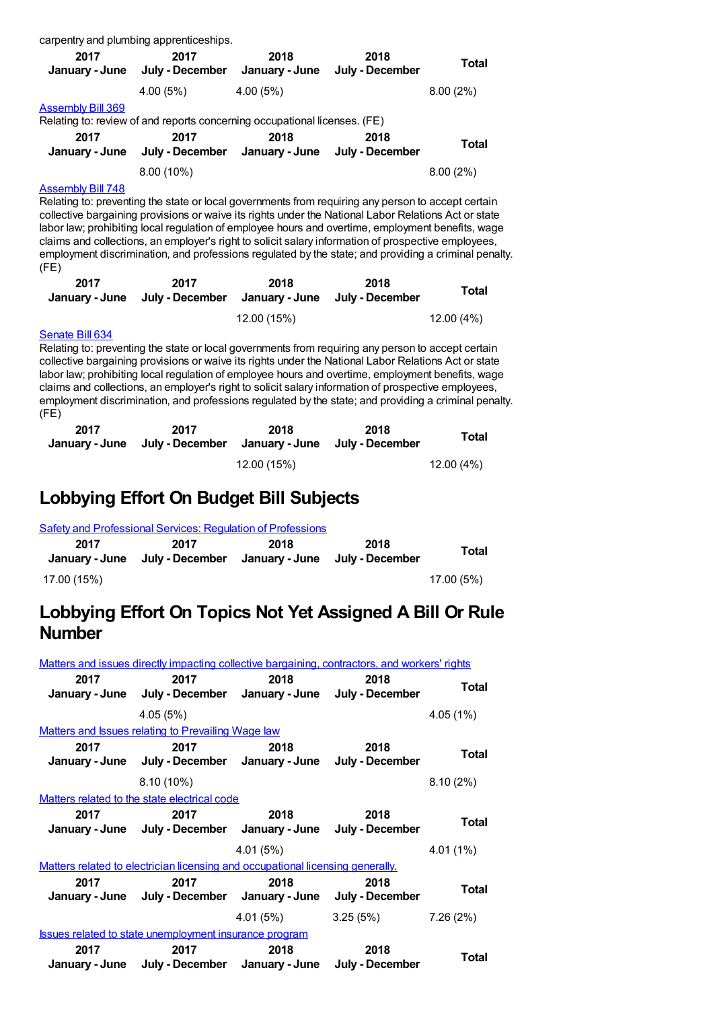|                                                                                                                                                                                                                                                                                                                                                                                                                                                                                                                                                                                                                                                                                     | carpentry and plumbing apprenticeships.                                   |                        |                                        |              |  |  |
|-------------------------------------------------------------------------------------------------------------------------------------------------------------------------------------------------------------------------------------------------------------------------------------------------------------------------------------------------------------------------------------------------------------------------------------------------------------------------------------------------------------------------------------------------------------------------------------------------------------------------------------------------------------------------------------|---------------------------------------------------------------------------|------------------------|----------------------------------------|--------------|--|--|
| 2017<br>January - June                                                                                                                                                                                                                                                                                                                                                                                                                                                                                                                                                                                                                                                              | 2017<br>July - December                                                   | 2018<br>January - June | 2018<br>July - December                | <b>Total</b> |  |  |
|                                                                                                                                                                                                                                                                                                                                                                                                                                                                                                                                                                                                                                                                                     | 4.00(5%)                                                                  | 4.00(5%)               |                                        | 8.00(2%)     |  |  |
| <u>Assembly Bill 369</u>                                                                                                                                                                                                                                                                                                                                                                                                                                                                                                                                                                                                                                                            | Relating to: review of and reports concerning occupational licenses. (FE) |                        |                                        |              |  |  |
| 2017<br>January - June                                                                                                                                                                                                                                                                                                                                                                                                                                                                                                                                                                                                                                                              | 2017<br>July - December                                                   | 2018                   | 2018<br>January - June July - December | <b>Total</b> |  |  |
|                                                                                                                                                                                                                                                                                                                                                                                                                                                                                                                                                                                                                                                                                     | 8.00 (10%)                                                                |                        |                                        | 8.00(2%)     |  |  |
| Relating to: preventing the state or local governments from requiring any person to accept certain<br>collective bargaining provisions or waive its rights under the National Labor Relations Act or state<br>labor law; prohibiting local regulation of employee hours and overtime, employment benefits, wage<br>claims and collections, an employer's right to solicit salary information of prospective employees,<br>employment discrimination, and professions regulated by the state; and providing a criminal penalty.<br>(FE)                                                                                                                                              |                                                                           |                        |                                        |              |  |  |
| 2017<br>January - June                                                                                                                                                                                                                                                                                                                                                                                                                                                                                                                                                                                                                                                              | 2017<br>July - December                                                   | 2018<br>January - June | 2018<br>July - December                | <b>Total</b> |  |  |
|                                                                                                                                                                                                                                                                                                                                                                                                                                                                                                                                                                                                                                                                                     |                                                                           | 12.00 (15%)            |                                        | 12.00 (4%)   |  |  |
| Senate Bill 634<br>Relating to: preventing the state or local governments from requiring any person to accept certain<br>collective bargaining provisions or waive its rights under the National Labor Relations Act or state<br>labor law; prohibiting local regulation of employee hours and overtime, employment benefits, wage<br>claims and collections, an employer's right to solicit salary information of prospective employees,<br>employment discrimination, and professions regulated by the state; and providing a criminal penalty.<br>(FE)<br>2018<br>2017<br>2017<br>2018<br><b>Total</b><br>July - December<br>January - June<br>January - June<br>July - December |                                                                           |                        |                                        |              |  |  |

12.00 (15%) 12.00 (4%)

## **Lobbying Effort On Budget Bill Subjects**

|                        | Safety and Professional Services: Regulation of Professions |                        |                         |            |
|------------------------|-------------------------------------------------------------|------------------------|-------------------------|------------|
| 2017<br>January - June | 2017<br>July - December                                     | 2018<br>January - June | 2018<br>Julv - December | Total      |
| 17.00 (15%)            |                                                             |                        |                         | 17.00 (5%) |

## **Lobbying Effort On Topics Not Yet Assigned A Bill Or Rule Number**

|      | Matters and issues directly impacting collective bargaining, contractors, and workers' rights |           |                                     |              |
|------|-----------------------------------------------------------------------------------------------|-----------|-------------------------------------|--------------|
| 2017 | 2017<br>January - June July - December January - June July - December                         | 2018      | 2018                                | Total        |
|      | 4.05(5%)                                                                                      |           |                                     | 4.05(1%)     |
|      | Matters and Issues relating to Prevailing Wage law                                            |           |                                     |              |
| 2017 | 2017<br>January - June July - December January - June July - December                         | 2018 720  | 2018                                | <b>Total</b> |
|      | $8.10(10\%)$                                                                                  |           |                                     | 8.10(2%)     |
|      | Matters related to the state electrical code                                                  |           |                                     |              |
| 2017 | 2017<br>January - June July - December January - June July - December                         | 2018      | 2018                                | Total        |
|      |                                                                                               | 4.01 (5%) |                                     | $4.01(1\%)$  |
|      | Matters related to electrician licensing and occupational licensing generally.                |           |                                     |              |
| 2017 | 2017<br>January - June July - December January - June July - December                         | 2018      | 2018                                | <b>Total</b> |
|      |                                                                                               |           | $4.01(5\%)$ $3.25(5\%)$ $7.26(2\%)$ |              |
|      | <b>Issues related to state unemployment insurance program</b>                                 |           |                                     |              |
| 2017 | 2017<br>January - June July - December January - June July - December                         | 2018      | 2018                                | Total        |